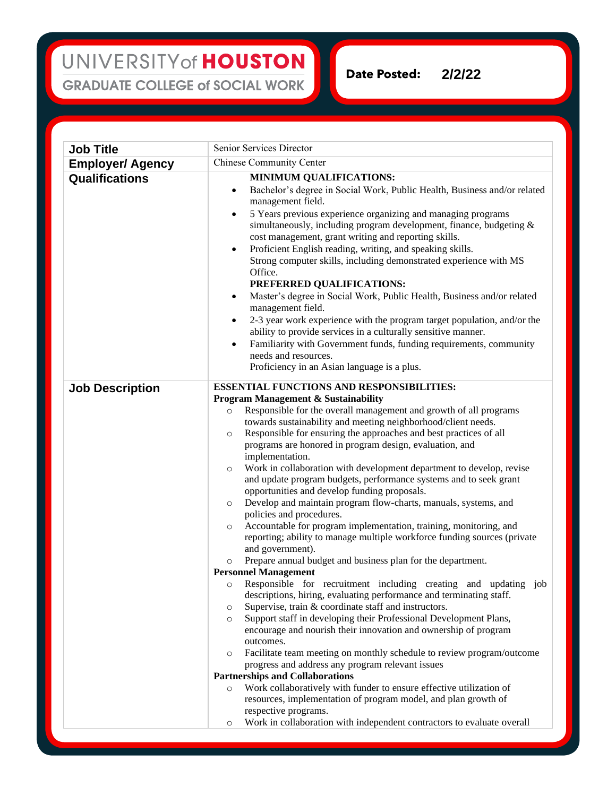## UNIVERSITY of HOUSTON **GRADUATE COLLEGE of SOCIAL WORK**

**Date Posted: 2/2/22**

**Job Title** Senior Services Director **Employer/ Agency** Chinese Community Center **Qualifications MINIMUM QUALIFICATIONS:** • Bachelor's degree in Social Work, Public Health, Business and/or related management field. • 5 Years previous experience organizing and managing programs simultaneously, including program development, finance, budgeting & cost management, grant writing and reporting skills. • Proficient English reading, writing, and speaking skills. Strong computer skills, including demonstrated experience with MS Office. **PREFERRED QUALIFICATIONS:** • Master's degree in Social Work, Public Health, Business and/or related management field. • 2-3 year work experience with the program target population, and/or the ability to provide services in a culturally sensitive manner. • Familiarity with Government funds, funding requirements, community needs and resources. Proficiency in an Asian language is a plus. **Job Description ESSENTIAL FUNCTIONS AND RESPONSIBILITIES: Program Management & Sustainability** o Responsible for the overall management and growth of all programs towards sustainability and meeting neighborhood/client needs. o Responsible for ensuring the approaches and best practices of all programs are honored in program design, evaluation, and implementation. o Work in collaboration with development department to develop, revise and update program budgets, performance systems and to seek grant opportunities and develop funding proposals. o Develop and maintain program flow-charts, manuals, systems, and policies and procedures. o Accountable for program implementation, training, monitoring, and reporting; ability to manage multiple workforce funding sources (private and government). o Prepare annual budget and business plan for the department. **Personnel Management** o Responsible for recruitment including creating and updating job descriptions, hiring, evaluating performance and terminating staff. o Supervise, train & coordinate staff and instructors. o Support staff in developing their Professional Development Plans, encourage and nourish their innovation and ownership of program outcomes. o Facilitate team meeting on monthly schedule to review program/outcome progress and address any program relevant issues **Partnerships and Collaborations** o Work collaboratively with funder to ensure effective utilization of resources, implementation of program model, and plan growth of respective programs.

o Work in collaboration with independent contractors to evaluate overall